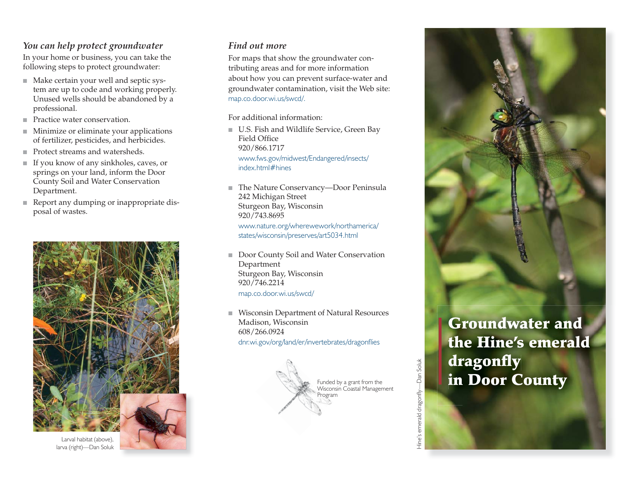## *You can help protect groundwater*

In your home or business, you can take the following steps to protect groundwater:

- Make certain your well and septic system are up to code and working properly. Unused wells should be abandoned by a professional.
- Practice water conservation.
- Minimize or eliminate your applications of fertilizer, pesticides, and herbicides.
- Protect streams and watersheds.
- If you know of any sinkholes, caves, or springs on your land, inform the Door County Soil and Water Conservation Department.
- Report any dumping or inappropriate disposal of wastes.





## *Find out more*

For maps that show the groundwater contributing areas and for more information about how you can prevent surface-water and groundwater contamination, visit the Web site: map.co.door.wi.us/swcd/.

For additional information:

- U.S. Fish and Wildlife Service, Green Bay Field Office 920/866.1717 www.fws.gov/midwest/Endangered/insects/ index.html#hines
- The Nature Conservancy—Door Peninsula 242 Michigan Street Sturgeon Bay, Wisconsin 920/743.8695 www.nature.org/wherewework/northamerica/

states/wisconsin/preserves/art5034.html

- ■ Door County Soil and Water Conservation Department Sturgeon Bay, Wisconsin 920/746.2214 map.co.door.wi.us/swcd/
- ■ Wisconsin Department of Natural Resources Madison, Wisconsin 608/266.0924 dnr.wi.gov/org/land/er/invertebrates/dragonflies





**Groundwater and the Hine's emerald t h** dragonfly **in Door County i n**